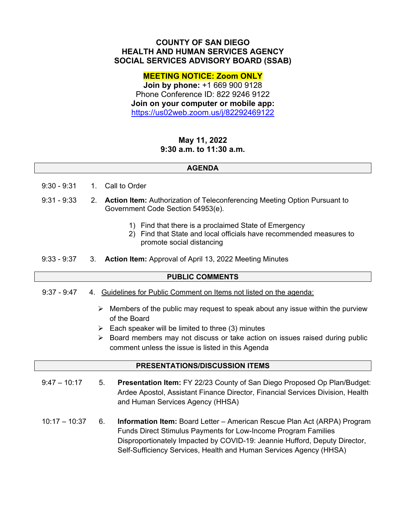# **COUNTY OF SAN DIEGO HEALTH AND HUMAN SERVICES AGENCY SOCIAL SERVICES ADVISORY BOARD (SSAB)**

# **MEETING NOTICE: Zoom ONLY**

**Join by phone:** +1 669 900 9128 Phone Conference ID: 822 9246 9122 **Join on your computer or mobile app:**  https://us02web.zoom.us/j/82292469122

# **May 11, 2022 9:30 a.m. to 11:30 a.m.**

### **AGENDA**

- 9:30 9:31 1. Call to Order
- 9:31 9:33 2. **Action Item:** Authorization of Teleconferencing Meeting Option Pursuant to Government Code Section 54953(e).
	- 1) Find that there is a proclaimed State of Emergency
	- 2) Find that State and local officials have recommended measures to promote social distancing
- 9:33 9:37 3. **Action Item:** Approval of April 13, 2022 Meeting Minutes

### **PUBLIC COMMENTS**

- 9:37 9:47 4. Guidelines for Public Comment on Items not listed on the agenda:
	- $\triangleright$  Members of the public may request to speak about any issue within the purview of the Board
	- $\triangleright$  Each speaker will be limited to three (3) minutes
	- $\triangleright$  Board members may not discuss or take action on issues raised during public comment unless the issue is listed in this Agenda

### **PRESENTATIONS/DISCUSSION ITEMS**

- $9:47 10:17$ 5. **Presentation Item:** FY 22/23 County of San Diego Proposed Op Plan/Budget: Ardee Apostol, Assistant Finance Director, Financial Services Division, Health and Human Services Agency (HHSA)
- 10:17 10:37 6. **Information Item:** Board Letter – American Rescue Plan Act (ARPA) Program Funds Direct Stimulus Payments for Low-Income Program Families Disproportionately Impacted by COVID-19: Jeannie Hufford, Deputy Director, Self-Sufficiency Services, Health and Human Services Agency (HHSA)